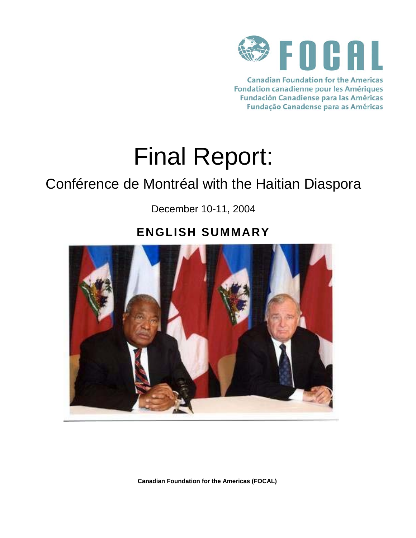

**Canadian Foundation for the Americas** Fondation canadienne pour les Amériques **Fundación Canadiense para las Américas** Fundação Canadense para as Américas

# Final Report:

## Conférence de Montréal with the Haitian Diaspora

December 10-11, 2004

### **ENGLISH SUMMARY**



**Canadian Foundation for the Americas (FOCAL)**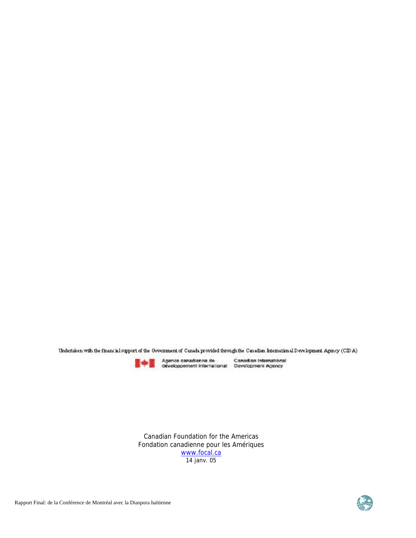Undertaken with the financial support of the Government of Canada provided through the Canadian International Development Agency (CIDA)



Agence canadianne de Canadian Internations<br>développement international Development Agency

Canadian International

Canadian Foundation for the Americas Fondation canadienne pour les Amériques www.focal.ca 14 janv. 05

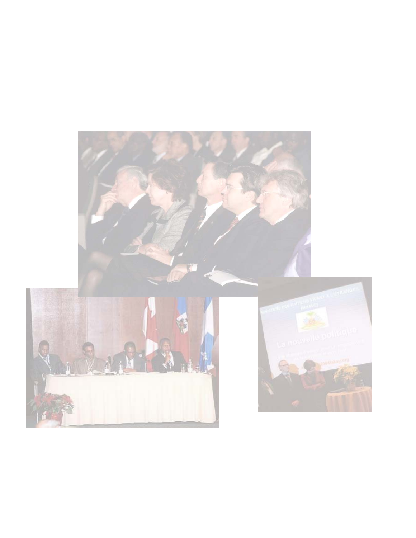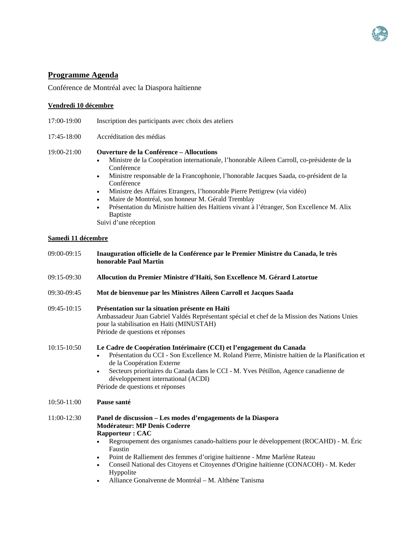

#### **Programme Agenda**

Conférence de Montréal avec la Diaspora haïtienne

#### **Vendredi 10 décembre**

- 17:00-19:00 Inscription des participants avec choix des ateliers
- 17:45-18:00 Accréditation des médias

#### 19:00-21:00 **Ouverture de la Conférence – Allocutions**

- Ministre de la Coopération internationale, l'honorable Aileen Carroll, co-présidente de la Conférence
- Ministre responsable de la Francophonie, l'honorable Jacques Saada, co-président de la Conférence
- Ministre des Affaires Etrangers, l'honorable Pierre Pettigrew (via vidéo)
- Maire de Montréal, son honneur M. Gérald Tremblay
- Présentation du Ministre haïtien des Haïtiens vivant à l'étranger, Son Excellence M. Alix Baptiste

Suivi d'une réception

#### **Samedi 11 décembre**

| 09:00-09:15 | Inauguration officielle de la Conférence par le Premier Ministre du Canada, le très<br>honorable Paul Martin                                                                                                                                                                                                                                                                                                                                                                                 |
|-------------|----------------------------------------------------------------------------------------------------------------------------------------------------------------------------------------------------------------------------------------------------------------------------------------------------------------------------------------------------------------------------------------------------------------------------------------------------------------------------------------------|
| 09:15-09:30 | Allocution du Premier Ministre d'Haïti, Son Excellence M. Gérard Latortue                                                                                                                                                                                                                                                                                                                                                                                                                    |
| 09:30-09:45 | Mot de bienvenue par les Ministres Aileen Carroll et Jacques Saada                                                                                                                                                                                                                                                                                                                                                                                                                           |
| 09:45-10:15 | Présentation sur la situation présente en Haïti<br>Ambassadeur Juan Gabriel Valdés Représentant spécial et chef de la Mission des Nations Unies<br>pour la stabilisation en Haïti (MINUSTAH)<br>Période de questions et réponses                                                                                                                                                                                                                                                             |
| 10:15-10:50 | Le Cadre de Coopération Intérimaire (CCI) et l'engagement du Canada<br>Présentation du CCI - Son Excellence M. Roland Pierre, Ministre haïtien de la Planification et<br>de la Coopération Externe<br>Secteurs prioritaires du Canada dans le CCI - M. Yves Pétillon, Agence canadienne de<br>$\bullet$<br>développement international (ACDI)<br>Période de questions et réponses                                                                                                            |
| 10:50-11:00 | Pause santé                                                                                                                                                                                                                                                                                                                                                                                                                                                                                  |
| 11:00-12:30 | Panel de discussion – Les modes d'engagements de la Diaspora<br><b>Modérateur: MP Denis Coderre</b><br>Rapporteur : CAC<br>Regroupement des organismes canado-haïtiens pour le développement (ROCAHD) - M. Éric<br>Faustin<br>Point de Ralliement des femmes d'origine haïtienne - Mme Marlène Rateau<br>$\bullet$<br>Conseil National des Citoyens et Citoyennes d'Origine haïtienne (CONACOH) - M. Keder<br>$\bullet$<br>Hyppolite<br>Alliance Gonaïvenne de Montréal – M. Althène Tanisma |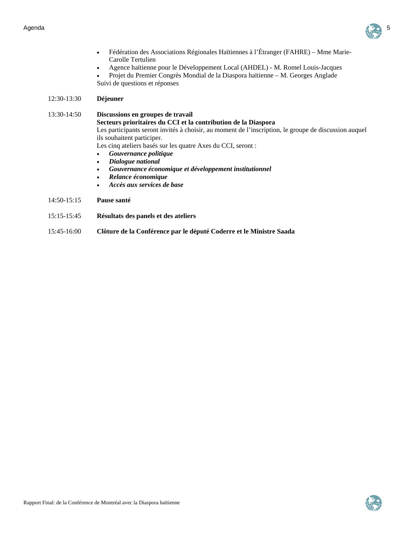

- Fédération des Associations Régionales Haïtiennes à l'Étranger (FAHRE) Mme Marie-Carolle Tertulien
- Agence haïtienne pour le Développement Local (AHDEL) M. Romel Louis-Jacques
- Projet du Premier Congrès Mondial de la Diaspora haïtienne M. Georges Anglade Suivi de questions et réponses

#### 12:30-13:30 **Déjeuner**

#### 13:30-14:50 **Discussions en groupes de travail**

 **Secteurs prioritaires du CCI et la contribution de la Diaspora**  Les participants seront invités à choisir, au moment de l'inscription, le groupe de discussion auquel ils souhaitent participer.

- Les cinq ateliers basés sur les quatre Axes du CCI, seront :
- *Gouvernance politique*
- *Dialogue national*
- *Gouvernance économique et développement institutionnel*
- *Relance économique* 
	- *Accès aux services de base*
- 14:50-15:15 **Pause santé**
- 15:15-15:45 **Résultats des panels et des ateliers**
- 15:45-16:00 **Clôture de la Conférence par le député Coderre et le Ministre Saada**

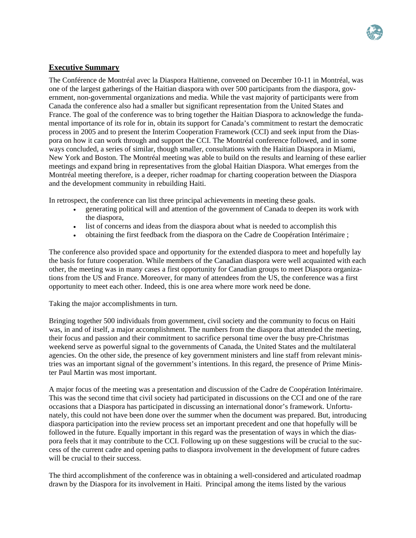

#### **Executive Summary**

The Conférence de Montréal avec la Diaspora Haïtienne, convened on December 10-11 in Montréal, was one of the largest gatherings of the Haitian diaspora with over 500 participants from the diaspora, government, non-governmental organizations and media. While the vast majority of participants were from Canada the conference also had a smaller but significant representation from the United States and France. The goal of the conference was to bring together the Haitian Diaspora to acknowledge the fundamental importance of its role for in, obtain its support for Canada's commitment to restart the democratic process in 2005 and to present the Interim Cooperation Framework (CCI) and seek input from the Diaspora on how it can work through and support the CCI. The Montréal conference followed, and in some ways concluded, a series of similar, though smaller, consultations with the Haitian Diaspora in Miami, New York and Boston. The Montréal meeting was able to build on the results and learning of these earlier meetings and expand bring in representatives from the global Haitian Diaspora. What emerges from the Montréal meeting therefore, is a deeper, richer roadmap for charting cooperation between the Diaspora and the development community in rebuilding Haiti.

In retrospect, the conference can list three principal achievements in meeting these goals.

- generating political will and attention of the government of Canada to deepen its work with the diaspora,
- list of concerns and ideas from the diaspora about what is needed to accomplish this
- obtaining the first feedback from the diaspora on the Cadre de Coopération Intérimaire ;

The conference also provided space and opportunity for the extended diaspora to meet and hopefully lay the basis for future cooperation. While members of the Canadian diaspora were well acquainted with each other, the meeting was in many cases a first opportunity for Canadian groups to meet Diaspora organizations from the US and France. Moreover, for many of attendees from the US, the conference was a first opportunity to meet each other. Indeed, this is one area where more work need be done.

Taking the major accomplishments in turn.

Bringing together 500 individuals from government, civil society and the community to focus on Haiti was, in and of itself, a major accomplishment. The numbers from the diaspora that attended the meeting, their focus and passion and their commitment to sacrifice personal time over the busy pre-Christmas weekend serve as powerful signal to the governments of Canada, the United States and the multilateral agencies. On the other side, the presence of key government ministers and line staff from relevant ministries was an important signal of the government's intentions. In this regard, the presence of Prime Minister Paul Martin was most important.

A major focus of the meeting was a presentation and discussion of the Cadre de Coopération Intérimaire. This was the second time that civil society had participated in discussions on the CCI and one of the rare occasions that a Diaspora has participated in discussing an international donor's framework. Unfortunately, this could not have been done over the summer when the document was prepared. But, introducing diaspora participation into the review process set an important precedent and one that hopefully will be followed in the future. Equally important in this regard was the presentation of ways in which the diaspora feels that it may contribute to the CCI. Following up on these suggestions will be crucial to the success of the current cadre and opening paths to diaspora involvement in the development of future cadres will be crucial to their success.

The third accomplishment of the conference was in obtaining a well-considered and articulated roadmap drawn by the Diaspora for its involvement in Haiti. Principal among the items listed by the various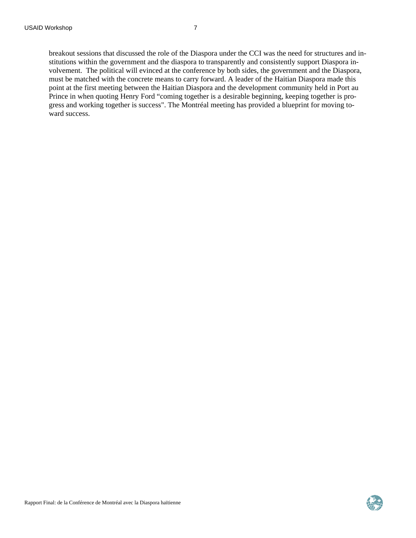breakout sessions that discussed the role of the Diaspora under the CCI was the need for structures and institutions within the government and the diaspora to transparently and consistently support Diaspora involvement. The political will evinced at the conference by both sides, the government and the Diaspora, must be matched with the concrete means to carry forward. A leader of the Haitian Diaspora made this point at the first meeting between the Haitian Diaspora and the development community held in Port au Prince in when quoting Henry Ford "coming together is a desirable beginning, keeping together is progress and working together is success". The Montréal meeting has provided a blueprint for moving toward success.

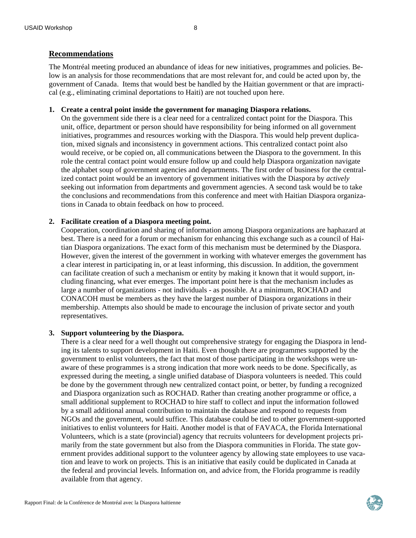#### **Recommendations**

The Montréal meeting produced an abundance of ideas for new initiatives, programmes and policies. Below is an analysis for those recommendations that are most relevant for, and could be acted upon by, the government of Canada. Items that would best be handled by the Haitian government or that are impractical (e.g., eliminating criminal deportations to Haiti) are not touched upon here.

#### **1. Create a central point inside the government for managing Diaspora relations.**

On the government side there is a clear need for a centralized contact point for the Diaspora. This unit, office, department or person should have responsibility for being informed on all government initiatives, programmes and resources working with the Diaspora. This would help prevent duplication, mixed signals and inconsistency in government actions. This centralized contact point also would receive, or be copied on, all communications between the Diaspora to the government. In this role the central contact point would ensure follow up and could help Diaspora organization navigate the alphabet soup of government agencies and departments. The first order of business for the centralized contact point would be an inventory of government initiatives with the Diaspora by *actively* seeking out information from departments and government agencies. A second task would be to take the conclusions and recommendations from this conference and meet with Haitian Diaspora organizations in Canada to obtain feedback on how to proceed.

#### **2. Facilitate creation of a Diaspora meeting point.**

Cooperation, coordination and sharing of information among Diaspora organizations are haphazard at best. There is a need for a forum or mechanism for enhancing this exchange such as a council of Haitian Diaspora organizations. The exact form of this mechanism must be determined by the Diaspora. However, given the interest of the government in working with whatever emerges the government has a clear interest in participating in, or at least informing, this discussion. In addition, the government can facilitate creation of such a mechanism or entity by making it known that it would support, including financing, what ever emerges. The important point here is that the mechanism includes as large a number of organizations - not individuals - as possible. At a minimum, ROCHAD and CONACOH must be members as they have the largest number of Diaspora organizations in their membership. Attempts also should be made to encourage the inclusion of private sector and youth representatives.

#### **3. Support volunteering by the Diaspora.**

There is a clear need for a well thought out comprehensive strategy for engaging the Diaspora in lending its talents to support development in Haiti. Even though there are programmes supported by the government to enlist volunteers, the fact that most of those participating in the workshops were unaware of these programmes is a strong indication that more work needs to be done. Specifically, as expressed during the meeting, a single unified database of Diaspora volunteers is needed. This could be done by the government through new centralized contact point, or better, by funding a recognized and Diaspora organization such as ROCHAD. Rather than creating another programme or office, a small additional supplement to ROCHAD to hire staff to collect and input the information followed by a small additional annual contribution to maintain the database and respond to requests from NGOs and the government, would suffice. This database could be tied to other government-supported initiatives to enlist volunteers for Haiti. Another model is that of FAVACA, the Florida International Volunteers, which is a state (provincial) agency that recruits volunteers for development projects primarily from the state government but also from the Diaspora communities in Florida. The state government provides additional support to the volunteer agency by allowing state employees to use vacation and leave to work on projects. This is an initiative that easily could be duplicated in Canada at the federal and provincial levels. Information on, and advice from, the Florida programme is readily available from that agency.

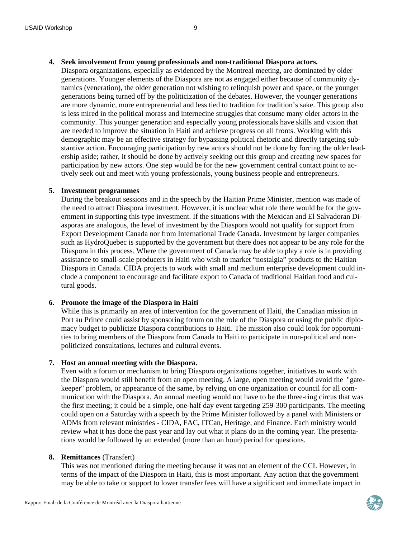Diaspora organizations, especially as evidenced by the Montreal meeting, are dominated by older generations. Younger elements of the Diaspora are not as engaged either because of community dynamics (veneration), the older generation not wishing to relinquish power and space, or the younger generations being turned off by the politicization of the debates. However, the younger generations are more dynamic, more entrepreneurial and less tied to tradition for tradition's sake. This group also is less mired in the political morass and internecine struggles that consume many older actors in the community. This younger generation and especially young professionals have skills and vision that are needed to improve the situation in Haiti and achieve progress on all fronts. Working with this demographic may be an effective strategy for bypassing political rhetoric and directly targeting substantive action. Encouraging participation by new actors should not be done by forcing the older leadership aside; rather, it should be done by actively seeking out this group and creating new spaces for participation by new actors. One step would be for the new government central contact point to actively seek out and meet with young professionals, young business people and entrepreneurs.

#### **5. Investment programmes**

During the breakout sessions and in the speech by the Haitian Prime Minister, mention was made of the need to attract Diaspora investment. However, it is unclear what role there would be for the government in supporting this type investment. If the situations with the Mexican and El Salvadoran Diasporas are analogous, the level of investment by the Diaspora would not qualify for support from Export Development Canada nor from International Trade Canada. Investment by larger companies such as HydroQuebec is supported by the government but there does not appear to be any role for the Diaspora in this process. Where the government of Canada may be able to play a role is in providing assistance to small-scale producers in Haiti who wish to market "nostalgia" products to the Haitian Diaspora in Canada. CIDA projects to work with small and medium enterprise development could include a component to encourage and facilitate export to Canada of traditional Haitian food and cultural goods.

#### **6. Promote the image of the Diaspora in Haiti**

While this is primarily an area of intervention for the government of Haiti, the Canadian mission in Port au Prince could assist by sponsoring forum on the role of the Diaspora or using the public diplomacy budget to publicize Diaspora contributions to Haiti. The mission also could look for opportunities to bring members of the Diaspora from Canada to Haiti to participate in non-political and nonpoliticized consultations, lectures and cultural events.

#### **7. Host an annual meeting with the Diaspora.**

Even with a forum or mechanism to bring Diaspora organizations together, initiatives to work with the Diaspora would still benefit from an open meeting. A large, open meeting would avoid the "gatekeeper" problem, or appearance of the same, by relying on one organization or council for all communication with the Diaspora. An annual meeting would not have to be the three-ring circus that was the first meeting; it could be a simple, one-half day event targeting 259-300 participants. The meeting could open on a Saturday with a speech by the Prime Minister followed by a panel with Ministers or ADMs from relevant ministries - CIDA, FAC, ITCan, Heritage, and Finance. Each ministry would review what it has done the past year and lay out what it plans do in the coming year. The presentations would be followed by an extended (more than an hour) period for questions.

#### **8. Remittances** (Transfert)

This was not mentioned during the meeting because it was not an element of the CCI. However, in terms of the impact of the Diaspora in Haiti, this is most important. Any action that the government may be able to take or support to lower transfer fees will have a significant and immediate impact in

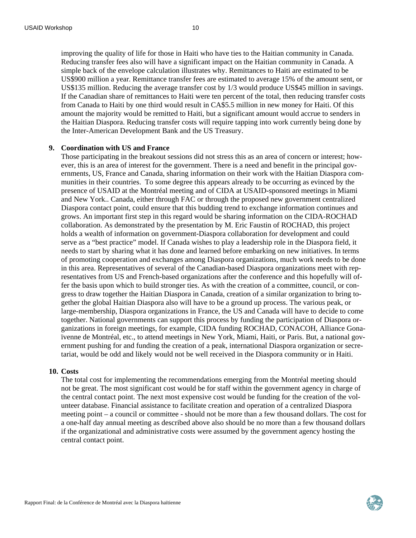improving the quality of life for those in Haiti who have ties to the Haitian community in Canada. Reducing transfer fees also will have a significant impact on the Haitian community in Canada. A simple back of the envelope calculation illustrates why. Remittances to Haiti are estimated to be US\$900 million a year. Remittance transfer fees are estimated to average 15% of the amount sent, or US\$135 million. Reducing the average transfer cost by 1/3 would produce US\$45 million in savings. If the Canadian share of remittances to Haiti were ten percent of the total, then reducing transfer costs from Canada to Haiti by one third would result in CA\$5.5 million in new money for Haiti. Of this amount the majority would be remitted to Haiti, but a significant amount would accrue to senders in the Haitian Diaspora. Reducing transfer costs will require tapping into work currently being done by the Inter-American Development Bank and the US Treasury.

#### **9. Coordination with US and France**

Those participating in the breakout sessions did not stress this as an area of concern or interest; however, this is an area of interest for the government. There is a need and benefit in the principal governments, US, France and Canada, sharing information on their work with the Haitian Diaspora communities in their countries. To some degree this appears already to be occurring as evinced by the presence of USAID at the Montréal meeting and of CIDA at USAID-sponsored meetings in Miami and New York.. Canada, either through FAC or through the proposed new government centralized Diaspora contact point, could ensure that this budding trend to exchange information continues and grows. An important first step in this regard would be sharing information on the CIDA-ROCHAD collaboration. As demonstrated by the presentation by M. Eric Faustin of ROCHAD, this project holds a wealth of information on government-Diaspora collaboration for development and could serve as a "best practice" model. If Canada wishes to play a leadership role in the Diaspora field, it needs to start by sharing what it has done and learned before embarking on new initiatives. In terms of promoting cooperation and exchanges among Diaspora organizations, much work needs to be done in this area. Representatives of several of the Canadian-based Diaspora organizations meet with representatives from US and French-based organizations after the conference and this hopefully will offer the basis upon which to build stronger ties. As with the creation of a committee, council, or congress to draw together the Haitian Diaspora in Canada, creation of a similar organization to bring together the global Haitian Diaspora also will have to be a ground up process. The various peak, or large-membership, Diaspora organizations in France, the US and Canada will have to decide to come together. National governments can support this process by funding the participation of Diaspora organizations in foreign meetings, for example, CIDA funding ROCHAD, CONACOH, Alliance Gonaïvenne de Montréal, etc., to attend meetings in New York, Miami, Haiti, or Paris. But, a national government pushing for and funding the creation of a peak, international Diaspora organization or secretariat, would be odd and likely would not be well received in the Diaspora community or in Haiti.

#### **10. Costs**

The total cost for implementing the recommendations emerging from the Montréal meeting should not be great. The most significant cost would be for staff within the government agency in charge of the central contact point. The next most expensive cost would be funding for the creation of the volunteer database. Financial assistance to facilitate creation and operation of a centralized Diaspora meeting point – a council or committee - should not be more than a few thousand dollars. The cost for a one-half day annual meeting as described above also should be no more than a few thousand dollars if the organizational and administrative costs were assumed by the government agency hosting the central contact point.

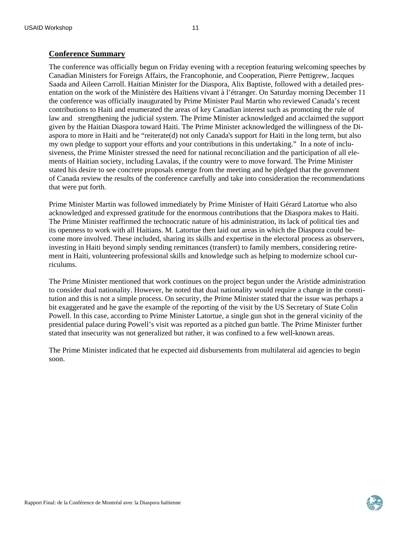#### **Conference Summary**

The conference was officially begun on Friday evening with a reception featuring welcoming speeches by Canadian Ministers for Foreign Affairs, the Francophonie, and Cooperation, Pierre Pettigrew, Jacques Saada and Aileen Carroll. Haitian Minister for the Diaspora, Alix Baptiste, followed with a detailed presentation on the work of the Ministère des Haïtiens vivant à l'étranger. On Saturday morning December 11 the conference was officially inaugurated by Prime Minister Paul Martin who reviewed Canada's recent contributions to Haiti and enumerated the areas of key Canadian interest such as promoting the rule of law and strengthening the judicial system. The Prime Minister acknowledged and acclaimed the support given by the Haitian Diaspora toward Haiti. The Prime Minister acknowledged the willingness of the Diaspora to more in Haiti and he "reiterate(d) not only Canada's support for Haiti in the long term, but also my own pledge to support your efforts and your contributions in this undertaking." In a note of inclusiveness, the Prime Minister stressed the need for national reconciliation and the participation of all elements of Haitian society, including Lavalas, if the country were to move forward. The Prime Minister stated his desire to see concrete proposals emerge from the meeting and he pledged that the government of Canada review the results of the conference carefully and take into consideration the recommendations that were put forth.

Prime Minister Martin was followed immediately by Prime Minister of Haiti Gérard Latortue who also acknowledged and expressed gratitude for the enormous contributions that the Diaspora makes to Haiti. The Prime Minister reaffirmed the technocratic nature of his administration, its lack of political ties and its openness to work with all Haitians. M. Latortue then laid out areas in which the Diaspora could become more involved. These included, sharing its skills and expertise in the electoral process as observers, investing in Haiti beyond simply sending remittances (transfert) to family members, considering retirement in Haiti, volunteering professional skills and knowledge such as helping to modernize school curriculums.

The Prime Minister mentioned that work continues on the project begun under the Aristide administration to consider dual nationality. However, he noted that dual nationality would require a change in the constitution and this is not a simple process. On security, the Prime Minister stated that the issue was perhaps a bit exaggerated and he gave the example of the reporting of the visit by the US Secretary of State Colin Powell. In this case, according to Prime Minister Latortue, a single gun shot in the general vicinity of the presidential palace during Powell's visit was reported as a pitched gun battle. The Prime Minister further stated that insecurity was not generalized but rather, it was confined to a few well-known areas.

The Prime Minister indicated that he expected aid disbursements from multilateral aid agencies to begin soon.

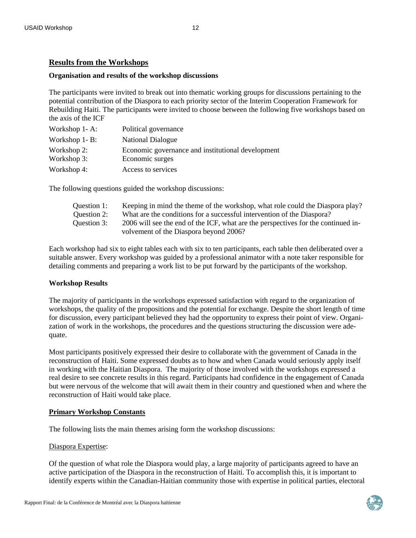#### **Results from the Workshops**

#### **Organisation and results of the workshop discussions**

The participants were invited to break out into thematic working groups for discussions pertaining to the potential contribution of the Diaspora to each priority sector of the Interim Cooperation Framework for Rebuilding Haiti. The participants were invited to choose between the following five workshops based on the axis of the ICF

| Workshop 1-A:  | Political governance                              |
|----------------|---------------------------------------------------|
| Workshop 1- B: | <b>National Dialogue</b>                          |
| Workshop 2:    | Economic governance and institutional development |
| Workshop 3:    | Economic surges                                   |
| Workshop 4:    | Access to services                                |

The following questions guided the workshop discussions:

| Question 1: | Keeping in mind the theme of the workshop, what role could the Diaspora play?     |
|-------------|-----------------------------------------------------------------------------------|
| Ouestion 2: | What are the conditions for a successful intervention of the Diaspora?            |
| Ouestion 3: | 2006 will see the end of the ICF, what are the perspectives for the continued in- |
|             | volvement of the Diaspora beyond 2006?                                            |

Each workshop had six to eight tables each with six to ten participants, each table then deliberated over a suitable answer. Every workshop was guided by a professional animator with a note taker responsible for detailing comments and preparing a work list to be put forward by the participants of the workshop.

#### **Workshop Results**

The majority of participants in the workshops expressed satisfaction with regard to the organization of workshops, the quality of the propositions and the potential for exchange. Despite the short length of time for discussion, every participant believed they had the opportunity to express their point of view. Organization of work in the workshops, the procedures and the questions structuring the discussion were adequate.

Most participants positively expressed their desire to collaborate with the government of Canada in the reconstruction of Haiti. Some expressed doubts as to how and when Canada would seriously apply itself in working with the Haitian Diaspora. The majority of those involved with the workshops expressed a real desire to see concrete results in this regard. Participants had confidence in the engagement of Canada but were nervous of the welcome that will await them in their country and questioned when and where the reconstruction of Haiti would take place.

#### **Primary Workshop Constants**

The following lists the main themes arising form the workshop discussions:

#### Diaspora Expertise:

Of the question of what role the Diaspora would play, a large majority of participants agreed to have an active participation of the Diaspora in the reconstruction of Haiti. To accomplish this, it is important to identify experts within the Canadian-Haitian community those with expertise in political parties, electoral

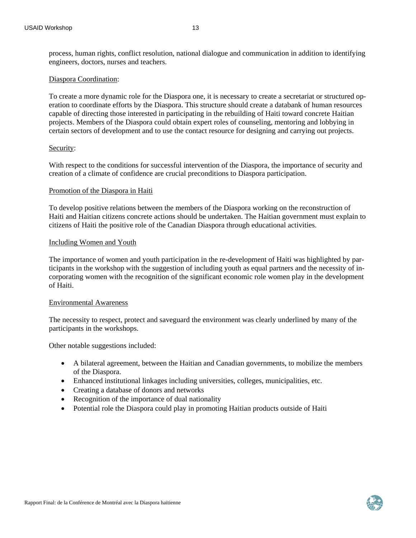process, human rights, conflict resolution, national dialogue and communication in addition to identifying engineers, doctors, nurses and teachers.

#### Diaspora Coordination:

To create a more dynamic role for the Diaspora one, it is necessary to create a secretariat or structured operation to coordinate efforts by the Diaspora. This structure should create a databank of human resources capable of directing those interested in participating in the rebuilding of Haiti toward concrete Haitian projects. Members of the Diaspora could obtain expert roles of counseling, mentoring and lobbying in certain sectors of development and to use the contact resource for designing and carrying out projects.

#### Security:

With respect to the conditions for successful intervention of the Diaspora, the importance of security and creation of a climate of confidence are crucial preconditions to Diaspora participation.

#### Promotion of the Diaspora in Haiti

To develop positive relations between the members of the Diaspora working on the reconstruction of Haiti and Haitian citizens concrete actions should be undertaken. The Haitian government must explain to citizens of Haiti the positive role of the Canadian Diaspora through educational activities.

#### Including Women and Youth

The importance of women and youth participation in the re-development of Haiti was highlighted by participants in the workshop with the suggestion of including youth as equal partners and the necessity of incorporating women with the recognition of the significant economic role women play in the development of Haiti.

#### Environmental Awareness

The necessity to respect, protect and saveguard the environment was clearly underlined by many of the participants in the workshops.

Other notable suggestions included:

- A bilateral agreement, between the Haitian and Canadian governments, to mobilize the members of the Diaspora.
- Enhanced institutional linkages including universities, colleges, municipalities, etc.
- Creating a database of donors and networks
- Recognition of the importance of dual nationality
- Potential role the Diaspora could play in promoting Haitian products outside of Haiti

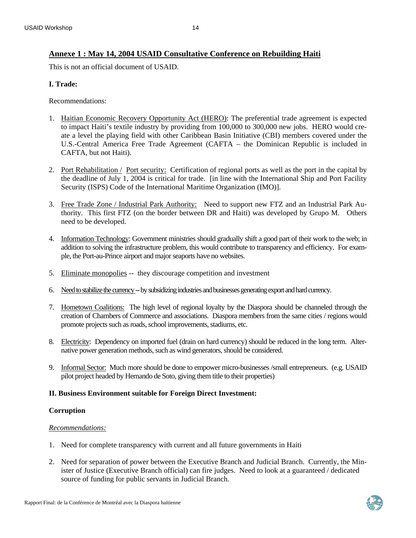#### **Annexe 1 : May 14, 2004 USAID Consultative Conference on Rebuilding Haiti**

This is not an official document of USAID.

#### **I. Trade:**

Recommendations:

- 1. Haitian Economic Recovery Opportunity Act (HERO): The preferential trade agreement is expected to impact Haiti's textile industry by providing from 100,000 to 300,000 new jobs. HERO would create a level the playing field with other Caribbean Basin Initiative (CBI) members covered under the U.S.-Central America Free Trade Agreement (CAFTA – the Dominican Republic is included in CAFTA, but not Haiti).
- 2. Port Rehabilitation / Port security: Certification of regional ports as well as the port in the capital by the deadline of July 1, 2004 is critical for trade. [in line with the International Ship and Port Facility Security (ISPS) Code of the International Maritime Organization (IMO)].
- 3. Free Trade Zone / Industrial Park Authority: Need to support new FTZ and an Industrial Park Authority. This first FTZ (on the border between DR and Haiti) was developed by Grupo M. Others need to be developed.
- 4. Information Technology: Government ministries should gradually shift a good part of their work to the web; in addition to solving the infrastructure problem, this would contribute to transparency and efficiency. For example, the Port-au-Prince airport and major seaports have no websites.
- 5. Eliminate monopolies -- they discourage competition and investment
- 6. Need to stabilize the currency -- by subsidizing industries and businesses generating export and hard currency.
- 7. Hometown Coalitions: The high level of regional loyalty by the Diaspora should be channeled through the creation of Chambers of Commerce and associations. Diaspora members from the same cities / regions would promote projects such as roads, school improvements, stadiums, etc.
- 8. Electricity: Dependency on imported fuel (drain on hard currency) should be reduced in the long term. Alternative power generation methods, such as wind generators, should be considered.
- 9. Informal Sector: Much more should be done to empower micro-businesses /small entrepreneurs. (e.g. USAID pilot project headed by Hernando de Soto, giving them title to their properties)

#### **II. Business Environment suitable for Foreign Direct Investment:**

#### **Corruption**

#### *Recommendations:*

- 1. Need for complete transparency with current and all future governments in Haiti
- 2. Need for separation of power between the Executive Branch and Judicial Branch. Currently, the Minister of Justice (Executive Branch official) can fire judges. Need to look at a guaranteed / dedicated source of funding for public servants in Judicial Branch.

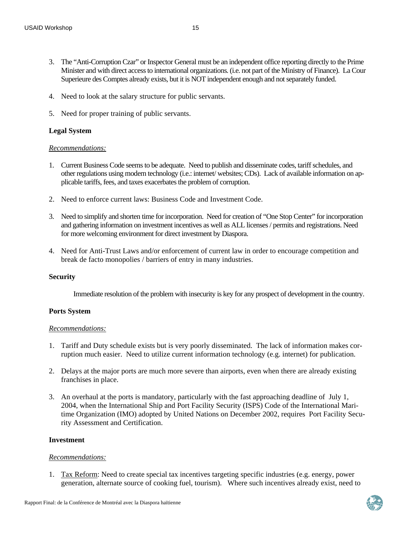- 3. The "Anti-Corruption Czar" or Inspector General must be an independent office reporting directly to the Prime Minister and with direct access to international organizations. (i.e. not part of the Ministry of Finance). La Cour Superieure des Comptes already exists, but it is NOT independent enough and not separately funded.
- 4. Need to look at the salary structure for public servants.
- 5. Need for proper training of public servants.

#### **Legal System**

#### *Recommendations:*

- 1. Current Business Code seems to be adequate. Need to publish and disseminate codes, tariff schedules, and other regulations using modern technology (i.e.: internet/ websites; CDs). Lack of available information on applicable tariffs, fees, and taxes exacerbates the problem of corruption.
- 2. Need to enforce current laws: Business Code and Investment Code.
- 3. Need to simplify and shorten time for incorporation. Need for creation of "One Stop Center" for incorporation and gathering information on investment incentives as well as ALL licenses / permits and registrations. Need for more welcoming environment for direct investment by Diaspora.
- 4. Need for Anti-Trust Laws and/or enforcement of current law in order to encourage competition and break de facto monopolies / barriers of entry in many industries.

#### **Security**

Immediate resolution of the problem with insecurity is key for any prospect of development in the country.

#### **Ports System**

#### *Recommendations:*

- 1. Tariff and Duty schedule exists but is very poorly disseminated. The lack of information makes corruption much easier. Need to utilize current information technology (e.g. internet) for publication.
- 2. Delays at the major ports are much more severe than airports, even when there are already existing franchises in place.
- 3. An overhaul at the ports is mandatory, particularly with the fast approaching deadline of July 1, 2004, when the International Ship and Port Facility Security (ISPS) Code of the International Maritime Organization (IMO) adopted by United Nations on December 2002, requires Port Facility Security Assessment and Certification.

#### **Investment**

#### *Recommendations:*

1. Tax Reform: Need to create special tax incentives targeting specific industries (e.g. energy, power generation, alternate source of cooking fuel, tourism). Where such incentives already exist, need to